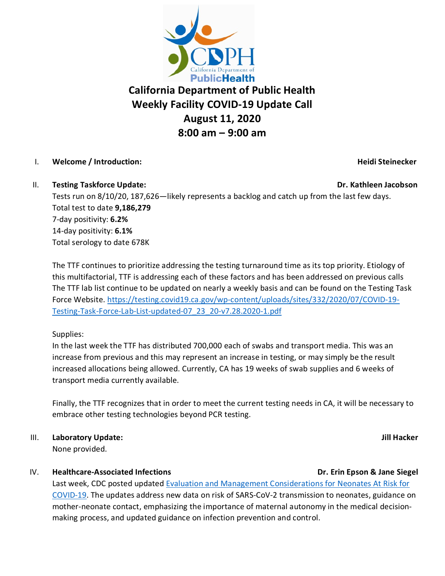

# **California Department of Public Health Weekly Facility COVID-19 Update Call August 11, 2020 8:00 am – 9:00 am**

# I. **Welcome / Introduction: Heidi Steinecker**

### II. **Testing Taskforce Update: Dr. Kathleen Jacobson**

Tests run on 8/10/20, 187,626—likely represents a backlog and catch up from the last few days. Total test to date **9,186,279** 7-day positivity: **6.2%** 14-day positivity: **6.1%** Total serology to date 678K

The TTF continues to prioritize addressing the testing turnaround time as its top priority. Etiology of this multifactorial, TTF is addressing each of these factors and has been addressed on previous calls The TTF lab list continue to be updated on nearly a weekly basis and can be found on the Testing Task Force Website. [https://testing.covid19.ca.gov/wp-content/uploads/sites/332/2020/07/COVID-19-](https://testing.covid19.ca.gov/wp-content/uploads/sites/332/2020/07/COVID-19-Testing-Task-Force-Lab-List-updated-07_23_20-v7.28.2020-1.pdf) [Testing-Task-Force-Lab-List-updated-07\\_23\\_20-v7.28.2020-1.pdf](https://testing.covid19.ca.gov/wp-content/uploads/sites/332/2020/07/COVID-19-Testing-Task-Force-Lab-List-updated-07_23_20-v7.28.2020-1.pdf)

Supplies:

In the last week the TTF has distributed 700,000 each of swabs and transport media. This was an increase from previous and this may represent an increase in testing, or may simply be the result increased allocations being allowed. Currently, CA has 19 weeks of swab supplies and 6 weeks of transport media currently available.

Finally, the TTF recognizes that in order to meet the current testing needs in CA, it will be necessary to embrace other testing technologies beyond PCR testing.

III. **Laboratory Update: Jill Hacker**

None provided.

# IV. Healthcare-Associated Infections **Dr. Example 20 and Struck and Struck** Dr. Erin Epson & Jane Siegel

Last week, CDC posted updated [Evaluation and Management Considerations for Neonates At Risk for](https://www.cdc.gov/coronavirus/2019-ncov/hcp/caring-for-newborns.html)  [COVID-19.](https://www.cdc.gov/coronavirus/2019-ncov/hcp/caring-for-newborns.html) The updates address new data on risk of SARS-CoV-2 transmission to neonates, guidance on mother-neonate contact, emphasizing the importance of maternal autonomy in the medical decisionmaking process, and updated guidance on infection prevention and control.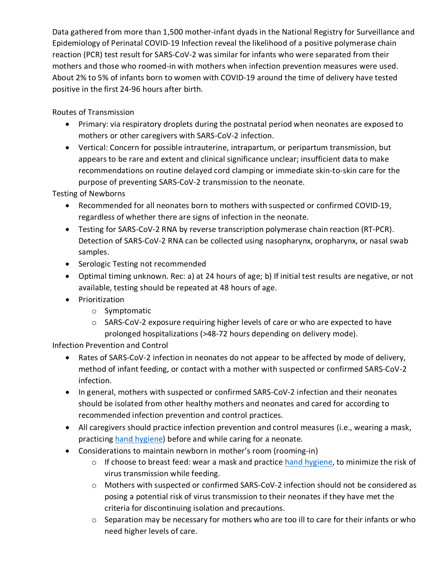Data gathered from more than 1,500 mother-infant dyads in the National Registry for Surveillance and Epidemiology of Perinatal COVID-19 Infection reveal the likelihood of a positive polymerase chain reaction (PCR) test result for SARS-CoV-2 was similar for infants who were separated from their mothers and those who roomed-in with mothers when infection prevention measures were used. About 2% to 5% of infants born to women with COVID-19 around the time of delivery have tested positive in the first 24-96 hours after birth.

Routes of Transmission

- Primary: via respiratory droplets during the postnatal period when neonates are exposed to mothers or other caregivers with SARS-CoV-2 infection.
- Vertical: Concern for possible intrauterine, intrapartum, or peripartum transmission, but appears to be rare and extent and clinical significance unclear; insufficient data to make recommendations on routine delayed cord clamping or immediate skin-to-skin care for the purpose of preventing SARS-CoV-2 transmission to the neonate.

Testing of Newborns

- Recommended for all neonates born to mothers with suspected or confirmed COVID-19, regardless of whether there are signs of infection in the neonate.
- Testing for SARS-CoV-2 RNA by reverse transcription polymerase chain reaction (RT-PCR). Detection of SARS-CoV-2 RNA can be collected using nasopharynx, oropharynx, or nasal swab samples.
- Serologic Testing not recommended
- Optimal timing unknown. Rec: a) at 24 hours of age; b) If initial test results are negative, or not available, testing should be repeated at 48 hours of age.
- Prioritization
	- o Symptomatic
	- $\circ$  SARS-CoV-2 exposure requiring higher levels of care or who are expected to have prolonged hospitalizations (>48-72 hours depending on delivery mode).

Infection Prevention and Control

- Rates of SARS-CoV-2 infection in neonates do not appear to be affected by mode of delivery, method of infant feeding, or contact with a mother with suspected or confirmed SARS-CoV-2 infection.
- In general, mothers with suspected or confirmed SARS-CoV-2 infection and their neonates should be isolated from other healthy mothers and neonates and cared for according to recommended infection prevention and control practices.
- All caregivers should practice infection prevention and control measures (i.e., wearing a mask, practicing [hand hygiene\)](https://www.cdc.gov/handwashing/index.html) before and while caring for a neonate.
- Considerations to maintain newborn in mother's room (rooming-in)
	- $\circ$  If choose to breast feed: wear a mask and practice [hand hygiene,](https://www.cdc.gov/handwashing/index.html) to minimize the risk of virus transmission while feeding.
	- o Mothers with suspected or confirmed SARS-CoV-2 infection should not be considered as posing a potential risk of virus transmission to their neonates if they have met the criteria for discontinuing isolation and precautions.
	- o Separation may be necessary for mothers who are too ill to care for their infants or who need higher levels of care.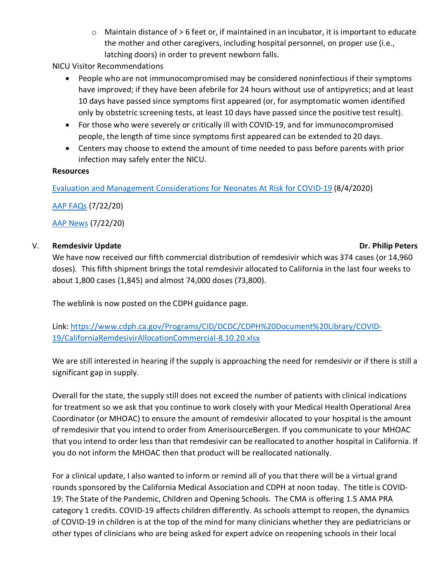o Maintain distance of > 6 feet or, if maintained in an incubator, it is important to educate the mother and other caregivers, including hospital personnel, on proper use (i.e., latching doors) in order to prevent newborn falls.

NICU Visitor Recommendations

- People who are not immunocompromised may be considered noninfectious if their symptoms have improved; if they have been afebrile for 24 hours without use of antipyretics; and at least 10 days have passed since symptoms first appeared (or, for asymptomatic women identified only by obstetric screening tests, at least 10 days have passed since the positive test result).
- For those who were severely or critically ill with COVID-19, and for immunocompromised people, the length of time since symptoms first appeared can be extended to 20 days.
- Centers may choose to extend the amount of time needed to pass before parents with prior infection may safely enter the NICU.

### **Resources**

[Evaluation and Management Considerations for Neonates At Risk for COVID-19](https://www.cdc.gov/coronavirus/2019-ncov/hcp/caring-for-newborns.html) (8/4/2020)

[AAP FAQs](https://services.aap.org/en/pages/2019-novel-coronavirus-covid-19-infections/clinical-guidance/faqs-management-of-infants-born-to-covid-19-mothers/) (7/22/20)

[AAP News](https://www.aappublications.org/news/2020/07/22/newbornguidance072220#:%7E:text=The%20AAP%20offers%20the%20following,mask%20and%20use%20hand%20hygiene.) (7/22/20)

# V. Remdesivir Update **National State of the Contract Oriental State of the Peters** Dr. Philip Peters

We have now received our fifth commercial distribution of remdesivir which was 374 cases (or 14,960 doses). This fifth shipment brings the total remdesivir allocated to California in the last four weeks to about 1,800 cases (1,845) and almost 74,000 doses (73,800).

The weblink is now posted on the CDPH guidance page.

Link: [https://www.cdph.ca.gov/Programs/CID/DCDC/CDPH%20Document%20Library/COVID-](https://www.cdph.ca.gov/Programs/CID/DCDC/CDPH%20Document%20Library/COVID-19/CaliforniaRemdesivirAllocationCommercial-8.10.20.xlsx)[19/CaliforniaRemdesivirAllocationCommercial-8.10.20.xlsx](https://www.cdph.ca.gov/Programs/CID/DCDC/CDPH%20Document%20Library/COVID-19/CaliforniaRemdesivirAllocationCommercial-8.10.20.xlsx)

We are still interested in hearing if the supply is approaching the need for remdesivir or if there is still a significant gap in supply.

Overall for the state, the supply still does not exceed the number of patients with clinical indications for treatment so we ask that you continue to work closely with your Medical Health Operational Area Coordinator (or MHOAC) to ensure the amount of remdesivir allocated to your hospital is the amount of remdesivir that you intend to order from AmerisourceBergen. If you communicate to your MHOAC that you intend to order less than that remdesivir can be reallocated to another hospital in California. If you do not inform the MHOAC then that product will be reallocated nationally.

For a clinical update, I also wanted to inform or remind all of you that there will be a virtual grand rounds sponsored by the California Medical Association and CDPH at noon today. The title is COVID-19: The State of the Pandemic, Children and Opening Schools. The CMA is offering 1.5 AMA PRA category 1 credits. COVID-19 affects children differently. As schools attempt to reopen, the dynamics of COVID-19 in children is at the top of the mind for many clinicians whether they are pediatricians or other types of clinicians who are being asked for expert advice on reopening schools in their local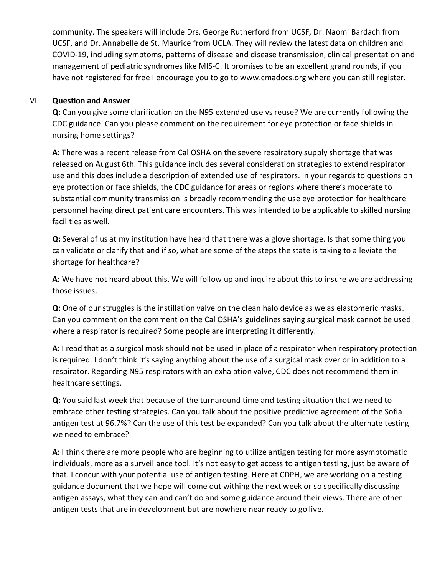community. The speakers will include Drs. George Rutherford from UCSF, Dr. Naomi Bardach from UCSF, and Dr. Annabelle de St. Maurice from UCLA. They will review the latest data on children and COVID-19, including symptoms, patterns of disease and disease transmission, clinical presentation and management of pediatric syndromes like MIS-C. It promises to be an excellent grand rounds, if you have not registered for free I encourage you to go to www.cmadocs.org where you can still register.

### VI. **Question and Answer**

**Q:** Can you give some clarification on the N95 extended use vs reuse? We are currently following the CDC guidance. Can you please comment on the requirement for eye protection or face shields in nursing home settings?

**A:** There was a recent release from Cal OSHA on the severe respiratory supply shortage that was released on August 6th. This guidance includes several consideration strategies to extend respirator use and this does include a description of extended use of respirators. In your regards to questions on eye protection or face shields, the CDC guidance for areas or regions where there's moderate to substantial community transmission is broadly recommending the use eye protection for healthcare personnel having direct patient care encounters. This was intended to be applicable to skilled nursing facilities as well.

**Q:** Several of us at my institution have heard that there was a glove shortage. Is that some thing you can validate or clarify that and if so, what are some of the steps the state is taking to alleviate the shortage for healthcare?

**A:** We have not heard about this. We will follow up and inquire about this to insure we are addressing those issues.

**Q:** One of our struggles is the instillation valve on the clean halo device as we as elastomeric masks. Can you comment on the comment on the Cal OSHA's guidelines saying surgical mask cannot be used where a respirator is required? Some people are interpreting it differently.

**A:** I read that as a surgical mask should not be used in place of a respirator when respiratory protection is required. I don't think it's saying anything about the use of a surgical mask over or in addition to a respirator. Regarding N95 respirators with an exhalation valve, CDC does not recommend them in healthcare settings.

**Q:** You said last week that because of the turnaround time and testing situation that we need to embrace other testing strategies. Can you talk about the positive predictive agreement of the Sofia antigen test at 96.7%? Can the use of this test be expanded? Can you talk about the alternate testing we need to embrace?

**A:** I think there are more people who are beginning to utilize antigen testing for more asymptomatic individuals, more as a surveillance tool. It's not easy to get access to antigen testing, just be aware of that. I concur with your potential use of antigen testing. Here at CDPH, we are working on a testing guidance document that we hope will come out withing the next week or so specifically discussing antigen assays, what they can and can't do and some guidance around their views. There are other antigen tests that are in development but are nowhere near ready to go live.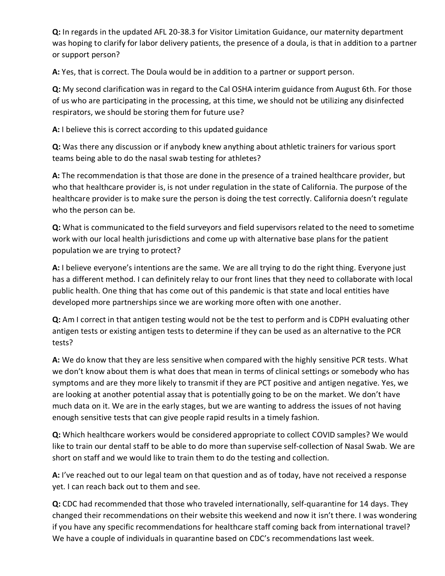**Q:** In regards in the updated AFL 20-38.3 for Visitor Limitation Guidance, our maternity department was hoping to clarify for labor delivery patients, the presence of a doula, is that in addition to a partner or support person?

**A:** Yes, that is correct. The Doula would be in addition to a partner or support person.

**Q:** My second clarification was in regard to the Cal OSHA interim guidance from August 6th. For those of us who are participating in the processing, at this time, we should not be utilizing any disinfected respirators, we should be storing them for future use?

**A:** I believe this is correct according to this updated guidance

**Q:** Was there any discussion or if anybody knew anything about athletic trainers for various sport teams being able to do the nasal swab testing for athletes?

**A:** The recommendation is that those are done in the presence of a trained healthcare provider, but who that healthcare provider is, is not under regulation in the state of California. The purpose of the healthcare provider is to make sure the person is doing the test correctly. California doesn't regulate who the person can be.

**Q:** What is communicated to the field surveyors and field supervisors related to the need to sometime work with our local health jurisdictions and come up with alternative base plans for the patient population we are trying to protect?

**A:** I believe everyone's intentions are the same. We are all trying to do the right thing. Everyone just has a different method. I can definitely relay to our front lines that they need to collaborate with local public health. One thing that has come out of this pandemic is that state and local entities have developed more partnerships since we are working more often with one another.

**Q:** Am I correct in that antigen testing would not be the test to perform and is CDPH evaluating other antigen tests or existing antigen tests to determine if they can be used as an alternative to the PCR tests?

**A:** We do know that they are less sensitive when compared with the highly sensitive PCR tests. What we don't know about them is what does that mean in terms of clinical settings or somebody who has symptoms and are they more likely to transmit if they are PCT positive and antigen negative. Yes, we are looking at another potential assay that is potentially going to be on the market. We don't have much data on it. We are in the early stages, but we are wanting to address the issues of not having enough sensitive tests that can give people rapid results in a timely fashion.

**Q:** Which healthcare workers would be considered appropriate to collect COVID samples? We would like to train our dental staff to be able to do more than supervise self-collection of Nasal Swab. We are short on staff and we would like to train them to do the testing and collection.

**A:** I've reached out to our legal team on that question and as of today, have not received a response yet. I can reach back out to them and see.

**Q:** CDC had recommended that those who traveled internationally, self-quarantine for 14 days. They changed their recommendations on their website this weekend and now it isn't there. I was wondering if you have any specific recommendations for healthcare staff coming back from international travel? We have a couple of individuals in quarantine based on CDC's recommendations last week.